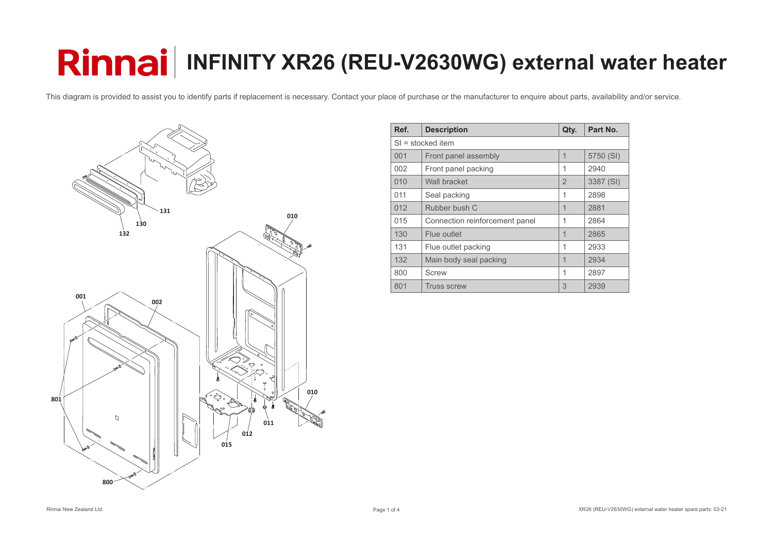

| Ref. | <b>Description</b>             | Qty.           | Part No.  |  |
|------|--------------------------------|----------------|-----------|--|
|      | $SI =$ stocked item            |                |           |  |
| 001  | Front panel assembly           | 1              | 5750 (SI) |  |
| 002  | Front panel packing            | 1              | 2940      |  |
| 010  | Wall bracket                   | $\overline{2}$ | 3387 (SI) |  |
| 011  | Seal packing                   | 1              | 2898      |  |
| 012  | Rubber bush C                  | 1              | 2881      |  |
| 015  | Connection reinforcement panel | 1              | 2864      |  |
| 130  | Flue outlet                    | 1              | 2865      |  |
| 131  | Flue outlet packing            | 1              | 2933      |  |
| 132  | Main body seal packing         | 1              | 2934      |  |
| 800  | <b>Screw</b>                   | 1              | 2897      |  |
| 801  | <b>Truss screw</b>             | 3              | 2939      |  |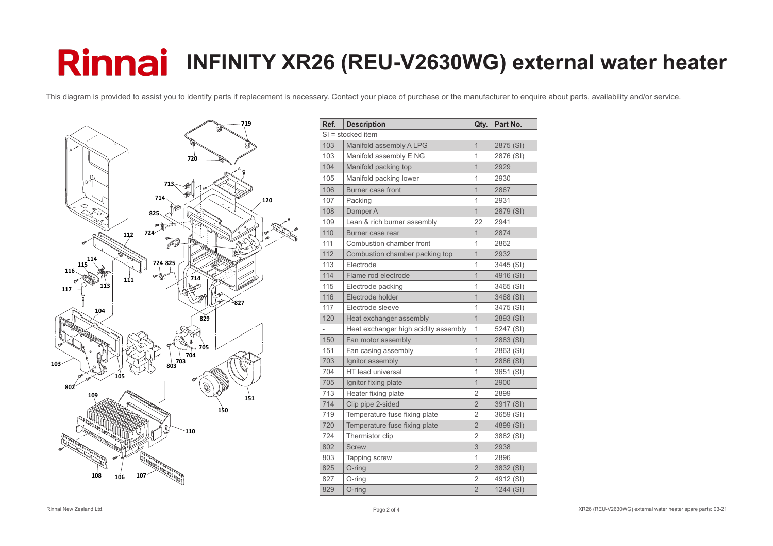

| Ref.         | <b>Description</b>                   | Qty.           | Part No.  |  |  |
|--------------|--------------------------------------|----------------|-----------|--|--|
|              | $SI =$ stocked item                  |                |           |  |  |
| 103          | Manifold assembly A LPG              | $\overline{1}$ | 2875 (SI) |  |  |
| 103          | Manifold assembly E NG               | 1              | 2876 (SI) |  |  |
| 104          | Manifold packing top                 | $\overline{1}$ | 2929      |  |  |
| 105          | Manifold packing lower               | 1              | 2930      |  |  |
| 106          | <b>Burner case front</b>             | $\mathbf{1}$   | 2867      |  |  |
| 107          | Packing                              | 1              | 2931      |  |  |
| 108          | Damper A                             | $\mathbf 1$    | 2879 (SI) |  |  |
| 109          | Lean & rich burner assembly          | 22             | 2941      |  |  |
| 110          | Burner case rear                     | $\mathbf 1$    | 2874      |  |  |
| 111          | Combustion chamber front             | 1              | 2862      |  |  |
| 112          | Combustion chamber packing top       | $\overline{1}$ | 2932      |  |  |
| 113          | Electrode                            | 1              | 3445 (SI) |  |  |
| 114          | Flame rod electrode                  | $\overline{1}$ | 4916 (SI) |  |  |
| 115          | Electrode packing                    | 1              | 3465 (SI) |  |  |
| 116          | Electrode holder                     | $\overline{1}$ | 3468 (SI) |  |  |
| 117          | Electrode sleeve                     | 1              | 3475 (SI) |  |  |
| 120          | Heat exchanger assembly              | $\mathbf{1}$   | 2893 (SI) |  |  |
| $\mathbf{r}$ | Heat exchanger high acidity assembly | 1              | 5247 (SI) |  |  |
| 150          | Fan motor assembly                   | $\overline{1}$ | 2883 (SI) |  |  |
| 151          | Fan casing assembly                  | $\mathbf 1$    | 2863 (SI) |  |  |
| 703          | Ignitor assembly                     | $\overline{1}$ | 2886 (SI) |  |  |
| 704          | HT lead universal                    | 1              | 3651 (SI) |  |  |
| 705          | Ignitor fixing plate                 | $\overline{1}$ | 2900      |  |  |
| 713          | Heater fixing plate                  | $\overline{2}$ | 2899      |  |  |
| 714          | Clip pipe 2-sided                    | $\overline{2}$ | 3917 (SI) |  |  |
| 719          | Temperature fuse fixing plate        | $\overline{2}$ | 3659 (SI) |  |  |
| 720          | Temperature fuse fixing plate        | $\overline{2}$ | 4899 (SI) |  |  |
| 724          | Thermistor clip                      | $\overline{2}$ | 3882 (SI) |  |  |
| 802          | <b>Screw</b>                         | 3              | 2938      |  |  |
| 803          | Tapping screw                        | 1              | 2896      |  |  |
| 825          | O-ring                               | $\overline{2}$ | 3832 (SI) |  |  |
| 827          | O-ring                               | $\overline{2}$ | 4912 (SI) |  |  |
| 829          | O-ring                               | $\overline{2}$ | 1244 (SI) |  |  |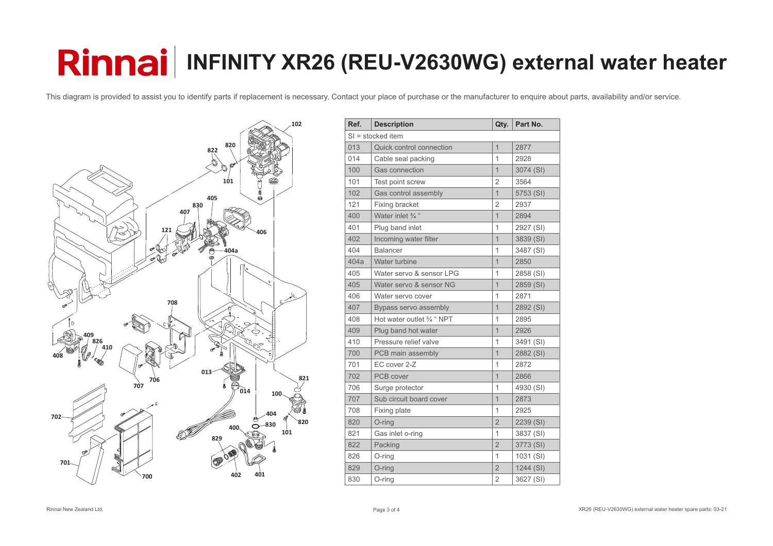

| Ref. | <b>Description</b>              | Qty.           | Part No.  |  |  |
|------|---------------------------------|----------------|-----------|--|--|
|      | $SI =$ stocked item             |                |           |  |  |
| 013  | <b>Quick control connection</b> | $\overline{1}$ | 2877      |  |  |
| 014  | Cable seal packing              | $\overline{1}$ | 2928      |  |  |
| 100  | <b>Gas connection</b>           | $\overline{1}$ | 3074 (SI) |  |  |
| 101  | Test point screw                | $\overline{2}$ | 3564      |  |  |
| 102  | Gas control assembly            | $\overline{1}$ | 5753 (SI) |  |  |
| 121  | <b>Fixing bracket</b>           | $\overline{2}$ | 2937      |  |  |
| 400  | Water inlet 3/4 "               | $\overline{1}$ | 2894      |  |  |
| 401  | Plug band inlet                 | 1              | 2927 (SI) |  |  |
| 402  | Incoming water filter           | $\overline{1}$ | 3839 (SI) |  |  |
| 404  | <b>Balancer</b>                 | 1              | 3487 (SI) |  |  |
| 404a | Water turbine                   | $\overline{1}$ | 2850      |  |  |
| 405  | Water servo & sensor LPG        | 1              | 2858 (SI) |  |  |
| 405  | Water servo & sensor NG         | $\overline{1}$ | 2859 (SI) |  |  |
| 406  | Water servo cover               | 1              | 2871      |  |  |
| 407  | Bypass servo assembly           | $\overline{1}$ | 2892 (SI) |  |  |
| 408  | Hot water outlet 3/4 " NPT      | 1              | 2895      |  |  |
| 409  | Plug band hot water             | $\overline{1}$ | 2926      |  |  |
| 410  | Pressure relief valve           | $\overline{1}$ | 3491 (SI) |  |  |
| 700  | PCB main assembly               | $\overline{1}$ | 2882 (SI) |  |  |
| 701  | EC cover 2-Z                    | 1              | 2872      |  |  |
| 702  | PCB cover                       | $\overline{1}$ | 2866      |  |  |
| 706  | Surge protector                 | 1              | 4930 (SI) |  |  |
| 707  | Sub circuit board cover         | $\overline{1}$ | 2873      |  |  |
| 708  | <b>Fixing plate</b>             | 1              | 2925      |  |  |
| 820  | O-ring                          | $\overline{2}$ | 2239 (SI) |  |  |
| 821  | Gas inlet o-ring                | 1              | 3837 (SI) |  |  |
| 822  | Packing                         | $\overline{2}$ | 3773 (SI) |  |  |
| 826  | $O$ -ring                       | 1              | 1031 (SI) |  |  |
| 829  | O-ring                          | $\overline{2}$ | 1244 (SI) |  |  |
| 830  | O-ring                          | $\overline{2}$ | 3627 (SI) |  |  |